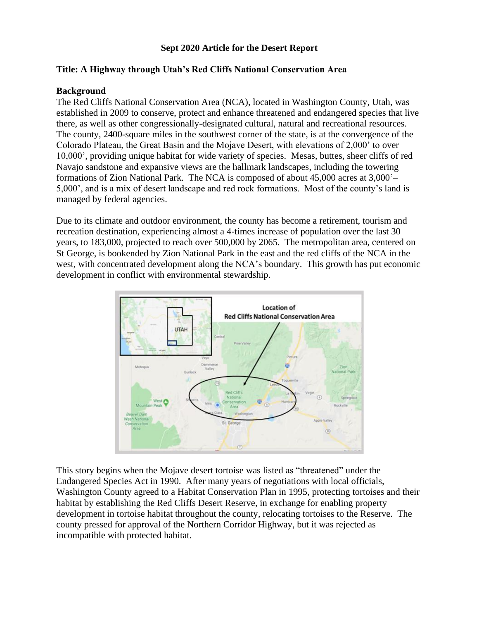### **Sept 2020 Article for the Desert Report**

## **Title: A Highway through Utah's Red Cliffs National Conservation Area**

### **Background**

The Red Cliffs National Conservation Area (NCA), located in Washington County, Utah, was established in 2009 to conserve, protect and enhance threatened and endangered species that live there, as well as other congressionally-designated cultural, natural and recreational resources. The county, 2400-square miles in the southwest corner of the state, is at the convergence of the Colorado Plateau, the Great Basin and the Mojave Desert, with elevations of 2,000' to over 10,000', providing unique habitat for wide variety of species. Mesas, buttes, sheer cliffs of red Navajo sandstone and expansive views are the hallmark landscapes, including the towering formations of Zion National Park. The NCA is composed of about 45,000 acres at 3,000'– 5,000', and is a mix of desert landscape and red rock formations. Most of the county's land is managed by federal agencies.

Due to its climate and outdoor environment, the county has become a retirement, tourism and recreation destination, experiencing almost a 4-times increase of population over the last 30 years, to 183,000, projected to reach over 500,000 by 2065. The metropolitan area, centered on St George, is bookended by Zion National Park in the east and the red cliffs of the NCA in the west, with concentrated development along the NCA's boundary. This growth has put economic development in conflict with environmental stewardship.



This story begins when the Mojave desert tortoise was listed as "threatened" under the Endangered Species Act in 1990. After many years of negotiations with local officials, Washington County agreed to a Habitat Conservation Plan in 1995, protecting tortoises and their habitat by establishing the Red Cliffs Desert Reserve, in exchange for enabling property development in tortoise habitat throughout the county, relocating tortoises to the Reserve. The county pressed for approval of the Northern Corridor Highway, but it was rejected as incompatible with protected habitat.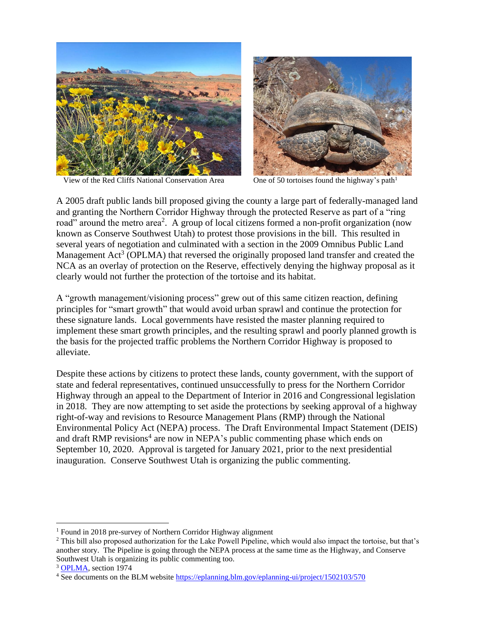

View of the Red Cliffs National Conservation Area One of 50 tortoises found the highway's path<sup>1</sup>



A 2005 draft public lands bill proposed giving the county a large part of federally-managed land and granting the Northern Corridor Highway through the protected Reserve as part of a "ring road" around the metro area<sup>2</sup>. A group of local citizens formed a non-profit organization (now known as Conserve Southwest Utah) to protest those provisions in the bill. This resulted in several years of negotiation and culminated with a section in the 2009 Omnibus Public Land Management  $Act^3$  (OPLMA) that reversed the originally proposed land transfer and created the NCA as an overlay of protection on the Reserve, effectively denying the highway proposal as it clearly would not further the protection of the tortoise and its habitat.

A "growth management/visioning process" grew out of this same citizen reaction, defining principles for "smart growth" that would avoid urban sprawl and continue the protection for these signature lands. Local governments have resisted the master planning required to implement these smart growth principles, and the resulting sprawl and poorly planned growth is the basis for the projected traffic problems the Northern Corridor Highway is proposed to alleviate.

Despite these actions by citizens to protect these lands, county government, with the support of state and federal representatives, continued unsuccessfully to press for the Northern Corridor Highway through an appeal to the Department of Interior in 2016 and Congressional legislation in 2018. They are now attempting to set aside the protections by seeking approval of a highway right-of-way and revisions to Resource Management Plans (RMP) through the National Environmental Policy Act (NEPA) process. The Draft Environmental Impact Statement (DEIS) and draft RMP revisions<sup>4</sup> are now in NEPA's public commenting phase which ends on September 10, 2020. Approval is targeted for January 2021, prior to the next presidential inauguration. Conserve Southwest Utah is organizing the public commenting.

<sup>1</sup> Found in 2018 pre-survey of Northern Corridor Highway alignment

<sup>&</sup>lt;sup>2</sup> This bill also proposed authorization for the Lake Powell Pipeline, which would also impact the tortoise, but that's another story. The Pipeline is going through the NEPA process at the same time as the Highway, and Conserve Southwest Utah is organizing its public commenting too.

<sup>&</sup>lt;sup>3</sup> [OPLMA,](https://www.govtrack.us/congress/bills/111/hr146#:~:text=The%20Omnibus%20Public%20Land%20Management%20Act%20of%202009,protected%20and%20establishes%20a%20National%20Landscape%20Conservation%20System.) section 1974

<sup>4</sup> See documents on the BLM website<https://eplanning.blm.gov/eplanning-ui/project/1502103/570>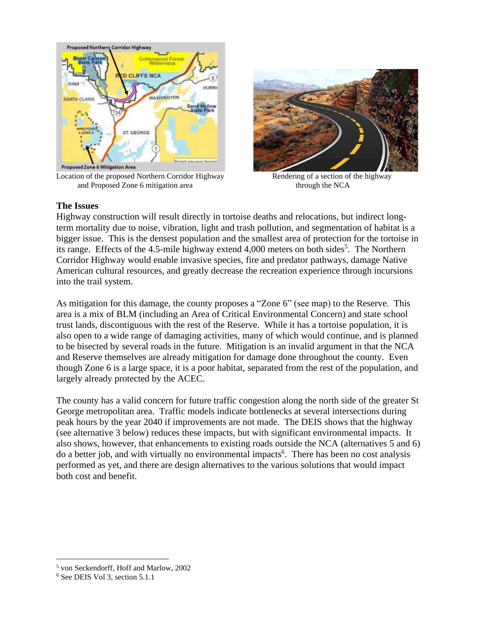

Location of the proposed Northern Corridor Highway Rendering of a section of the highway and Proposed Zone 6 mitigation area through the NCA



#### **The Issues**

Highway construction will result directly in tortoise deaths and relocations, but indirect longterm mortality due to noise, vibration, light and trash pollution, and segmentation of habitat is a bigger issue. This is the densest population and the smallest area of protection for the tortoise in its range. Effects of the 4.5-mile highway extend 4,000 meters on both sides<sup>5</sup>. The Northern Corridor Highway would enable invasive species, fire and predator pathways, damage Native American cultural resources, and greatly decrease the recreation experience through incursions into the trail system.

As mitigation for this damage, the county proposes a "Zone 6" (see map) to the Reserve. This area is a mix of BLM (including an Area of Critical Environmental Concern) and state school trust lands, discontiguous with the rest of the Reserve. While it has a tortoise population, it is also open to a wide range of damaging activities, many of which would continue, and is planned to be bisected by several roads in the future. Mitigation is an invalid argument in that the NCA and Reserve themselves are already mitigation for damage done throughout the county. Even though Zone 6 is a large space, it is a poor habitat, separated from the rest of the population, and largely already protected by the ACEC.

The county has a valid concern for future traffic congestion along the north side of the greater St George metropolitan area. Traffic models indicate bottlenecks at several intersections during peak hours by the year 2040 if improvements are not made. The DEIS shows that the highway (see alternative 3 below) reduces these impacts, but with significant environmental impacts. It also shows, however, that enhancements to existing roads outside the NCA (alternatives 5 and 6) do a better job, and with virtually no environmental impacts<sup>6</sup>. There has been no cost analysis performed as yet, and there are design alternatives to the various solutions that would impact both cost and benefit.

<sup>5</sup> von Seckendorff, Hoff and Marlow, 2002

<sup>6</sup> See DEIS Vol 3, section 5.1.1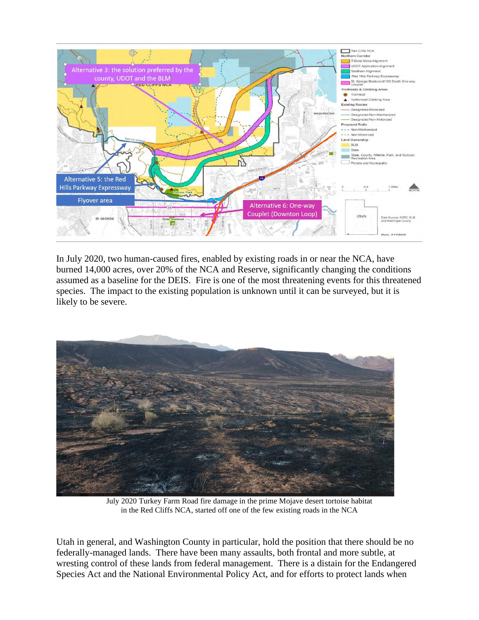

In July 2020, two human-caused fires, enabled by existing roads in or near the NCA, have burned 14,000 acres, over 20% of the NCA and Reserve, significantly changing the conditions assumed as a baseline for the DEIS. Fire is one of the most threatening events for this threatened species. The impact to the existing population is unknown until it can be surveyed, but it is likely to be severe.



July 2020 Turkey Farm Road fire damage in the prime Mojave desert tortoise habitat in the Red Cliffs NCA, started off one of the few existing roads in the NCA

Utah in general, and Washington County in particular, hold the position that there should be no federally-managed lands. There have been many assaults, both frontal and more subtle, at wresting control of these lands from federal management. There is a distain for the Endangered Species Act and the National Environmental Policy Act, and for efforts to protect lands when